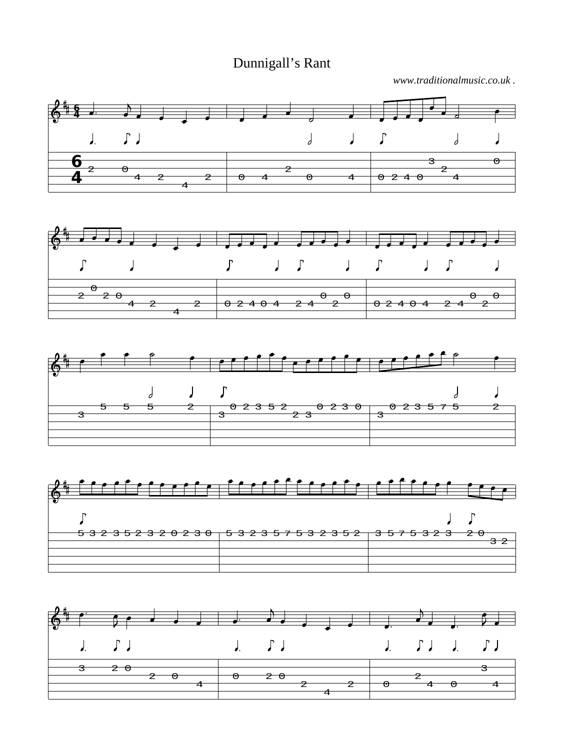Dunnigall's Rant

*www.traditionalmusic.co.uk .*